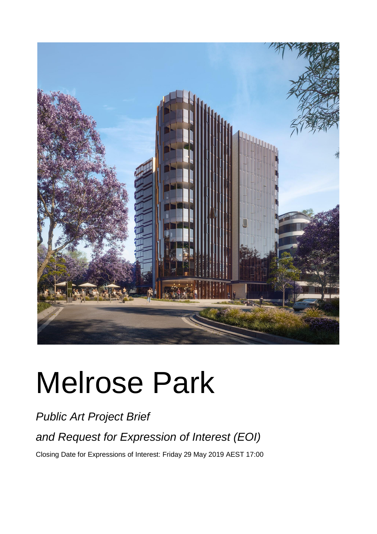

# Melrose Park

*Public Art Project Brief* 

*and Request for Expression of Interest (EOI)*

Closing Date for Expressions of Interest: Friday 29 May 2019 AEST 17:00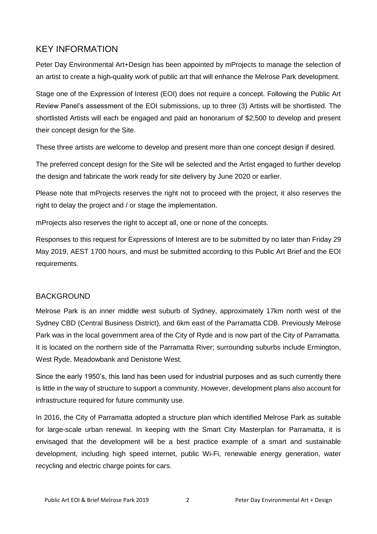## KEY INFORMATION

Peter Day Environmental Art+Design has been appointed by mProjects to manage the selection of an artist to create a high-quality work of public art that will enhance the Melrose Park development.

Stage one of the Expression of Interest (EOI) does not require a concept. Following the Public Art Review Panel's assessment of the EOI submissions, up to three (3) Artists will be shortlisted. The shortlisted Artists will each be engaged and paid an honorarium of \$2,500 to develop and present their concept design for the Site.

These three artists are welcome to develop and present more than one concept design if desired.

The preferred concept design for the Site will be selected and the Artist engaged to further develop the design and fabricate the work ready for site delivery by June 2020 or earlier.

Please note that mProjects reserves the right not to proceed with the project, it also reserves the right to delay the project and / or stage the implementation.

mProjects also reserves the right to accept all, one or none of the concepts.

Responses to this request for Expressions of Interest are to be submitted by no later than Friday 29 May 2019, AEST 1700 hours, and must be submitted according to this Public Art Brief and the EOI requirements.

#### BACKGROUND

Melrose Park is an inner middle west suburb of Sydney, approximately 17km north west of the Sydney CBD (Central Business District), and 6km east of the Parramatta CDB. Previously Melrose Park was in the local government area of the City of Ryde and is now part of the City of Parramatta. It is located on the northern side of the Parramatta River; surrounding suburbs include Ermington, West Ryde, Meadowbank and Denistone West.

Since the early 1950's, this land has been used for industrial purposes and as such currently there is little in the way of structure to support a community. However, development plans also account for infrastructure required for future community use.

In 2016, the City of Parramatta adopted a structure plan which identified Melrose Park as suitable for large-scale urban renewal. In keeping with the Smart City Masterplan for Parramatta, it is envisaged that the development will be a best practice example of a smart and sustainable development, including high speed internet, public Wi-Fi, renewable energy generation, water recycling and electric charge points for cars.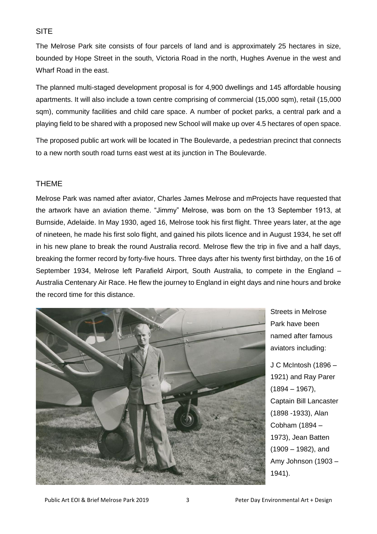#### **SITE**

The Melrose Park site consists of four parcels of land and is approximately 25 hectares in size, bounded by Hope Street in the south, Victoria Road in the north, Hughes Avenue in the west and Wharf Road in the east.

The planned multi-staged development proposal is for 4,900 dwellings and 145 affordable housing apartments. It will also include a town centre comprising of commercial (15,000 sqm), retail (15,000 sqm), community facilities and child care space. A number of pocket parks, a central park and a playing field to be shared with a proposed new School will make up over 4.5 hectares of open space.

The proposed public art work will be located in The Boulevarde, a pedestrian precinct that connects to a new north south road turns east west at its junction in The Boulevarde.

#### THEME

Melrose Park was named after aviator, Charles James Melrose and mProjects have requested that the artwork have an aviation theme. "Jimmy" Melrose, was born on the 13 September 1913, at Burnside, Adelaide. In May 1930, aged 16, Melrose took his first flight. Three years later, at the age of nineteen, he made his first solo flight, and gained his pilots licence and in August 1934, he set off in his new plane to break the round Australia record. Melrose flew the trip in five and a half days, breaking the former record by forty-five hours. Three days after his twenty first birthday, on the 16 of September 1934, Melrose left Parafield Airport, South Australia, to compete in the England – Australia Centenary Air Race. He flew the journey to England in eight days and nine hours and broke the record time for this distance.



Streets in Melrose Park have been named after famous aviators including:

J C McIntosh (1896 – 1921) and Ray Parer  $(1894 - 1967)$ , Captain Bill Lancaster (1898 -1933), Alan Cobham (1894 – 1973), Jean Batten (1909 – 1982), and Amy Johnson (1903 – 1941).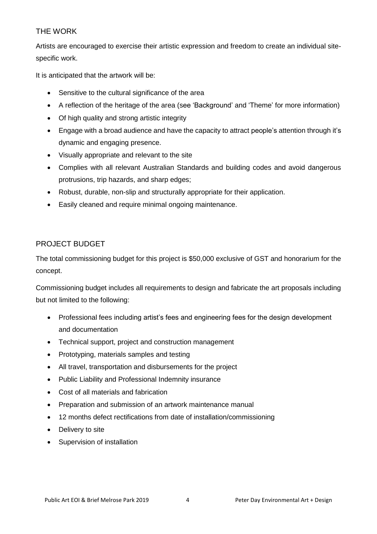## THE WORK

Artists are encouraged to exercise their artistic expression and freedom to create an individual sitespecific work.

It is anticipated that the artwork will be:

- Sensitive to the cultural significance of the area
- A reflection of the heritage of the area (see 'Background' and 'Theme' for more information)
- Of high quality and strong artistic integrity
- Engage with a broad audience and have the capacity to attract people's attention through it's dynamic and engaging presence.
- Visually appropriate and relevant to the site
- Complies with all relevant Australian Standards and building codes and avoid dangerous protrusions, trip hazards, and sharp edges;
- Robust, durable, non-slip and structurally appropriate for their application.
- Easily cleaned and require minimal ongoing maintenance.

## PROJECT BUDGET

The total commissioning budget for this project is \$50,000 exclusive of GST and honorarium for the concept.

Commissioning budget includes all requirements to design and fabricate the art proposals including but not limited to the following:

- Professional fees including artist's fees and engineering fees for the design development and documentation
- Technical support, project and construction management
- Prototyping, materials samples and testing
- All travel, transportation and disbursements for the project
- Public Liability and Professional Indemnity insurance
- Cost of all materials and fabrication
- Preparation and submission of an artwork maintenance manual
- 12 months defect rectifications from date of installation/commissioning
- Delivery to site
- Supervision of installation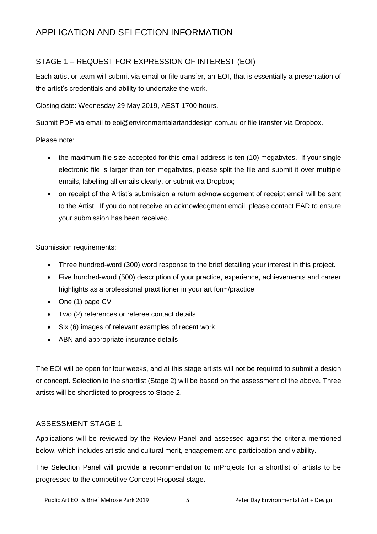## APPLICATION AND SELECTION INFORMATION

## STAGE 1 – REQUEST FOR EXPRESSION OF INTEREST (EOI)

Each artist or team will submit via email or file transfer, an EOI, that is essentially a presentation of the artist's credentials and ability to undertake the work.

Closing date: Wednesday 29 May 2019, AEST 1700 hours.

Submit PDF via email to eoi@environmentalartanddesign.com.au or file transfer via Dropbox.

#### Please note:

- the maximum file size accepted for this email address is ten (10) megabytes. If your single electronic file is larger than ten megabytes, please split the file and submit it over multiple emails, labelling all emails clearly, or submit via Dropbox;
- on receipt of the Artist's submission a return acknowledgement of receipt email will be sent to the Artist. If you do not receive an acknowledgment email, please contact EAD to ensure your submission has been received.

#### Submission requirements:

- Three hundred-word (300) word response to the brief detailing your interest in this project.
- Five hundred-word (500) description of your practice, experience, achievements and career highlights as a professional practitioner in your art form/practice.
- One (1) page CV
- Two (2) references or referee contact details
- Six (6) images of relevant examples of recent work
- ABN and appropriate insurance details

The EOI will be open for four weeks, and at this stage artists will not be required to submit a design or concept. Selection to the shortlist (Stage 2) will be based on the assessment of the above. Three artists will be shortlisted to progress to Stage 2.

#### ASSESSMENT STAGE 1

Applications will be reviewed by the Review Panel and assessed against the criteria mentioned below, which includes artistic and cultural merit, engagement and participation and viability.

The Selection Panel will provide a recommendation to mProjects for a shortlist of artists to be progressed to the competitive Concept Proposal stage**.**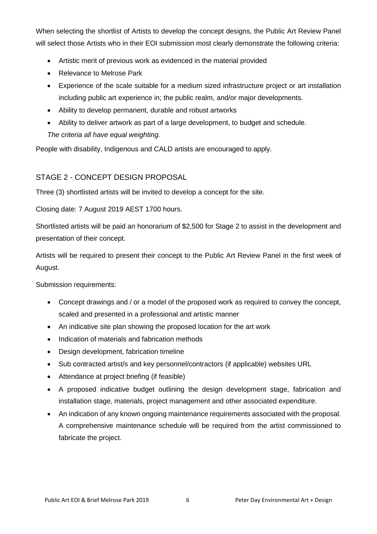When selecting the shortlist of Artists to develop the concept designs, the Public Art Review Panel will select those Artists who in their EOI submission most clearly demonstrate the following criteria:

- Artistic merit of previous work as evidenced in the material provided
- Relevance to Melrose Park
- Experience of the scale suitable for a medium sized infrastructure project or art installation including public art experience in; the public realm, and/or major developments.
- Ability to develop permanent, durable and robust artworks
- Ability to deliver artwork as part of a large development, to budget and schedule.

*The criteria all have equal weighting.*

People with disability, Indigenous and CALD artists are encouraged to apply.

## STAGE 2 - CONCEPT DESIGN PROPOSAL

Three (3) shortlisted artists will be invited to develop a concept for the site.

Closing date: 7 August 2019 AEST 1700 hours.

Shortlisted artists will be paid an honorarium of \$2,500 for Stage 2 to assist in the development and presentation of their concept.

Artists will be required to present their concept to the Public Art Review Panel in the first week of August.

Submission requirements:

- Concept drawings and / or a model of the proposed work as required to convey the concept, scaled and presented in a professional and artistic manner
- An indicative site plan showing the proposed location for the art work
- Indication of materials and fabrication methods
- Design development, fabrication timeline
- Sub contracted artist/s and key personnel/contractors (if applicable) websites URL
- Attendance at project briefing (if feasible)
- A proposed indicative budget outlining the design development stage, fabrication and installation stage, materials, project management and other associated expenditure.
- An indication of any known ongoing maintenance requirements associated with the proposal. A comprehensive maintenance schedule will be required from the artist commissioned to fabricate the project.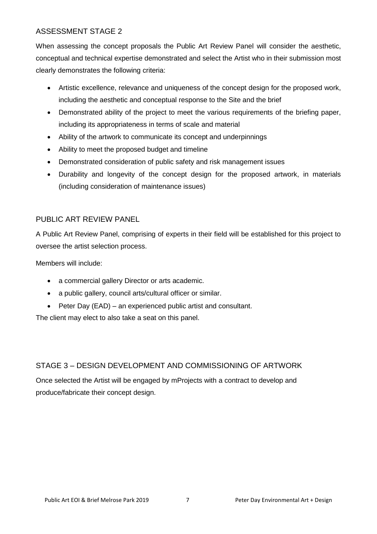#### ASSESSMENT STAGE 2

When assessing the concept proposals the Public Art Review Panel will consider the aesthetic, conceptual and technical expertise demonstrated and select the Artist who in their submission most clearly demonstrates the following criteria:

- Artistic excellence, relevance and uniqueness of the concept design for the proposed work, including the aesthetic and conceptual response to the Site and the brief
- Demonstrated ability of the project to meet the various requirements of the briefing paper, including its appropriateness in terms of scale and material
- Ability of the artwork to communicate its concept and underpinnings
- Ability to meet the proposed budget and timeline
- Demonstrated consideration of public safety and risk management issues
- Durability and longevity of the concept design for the proposed artwork, in materials (including consideration of maintenance issues)

## PUBLIC ART REVIEW PANEL

A Public Art Review Panel, comprising of experts in their field will be established for this project to oversee the artist selection process.

Members will include:

- a commercial gallery Director or arts academic.
- a public gallery, council arts/cultural officer or similar.
- Peter Day (EAD) an experienced public artist and consultant.

The client may elect to also take a seat on this panel.

## STAGE 3 – DESIGN DEVELOPMENT AND COMMISSIONING OF ARTWORK

Once selected the Artist will be engaged by mProjects with a contract to develop and produce/fabricate their concept design.